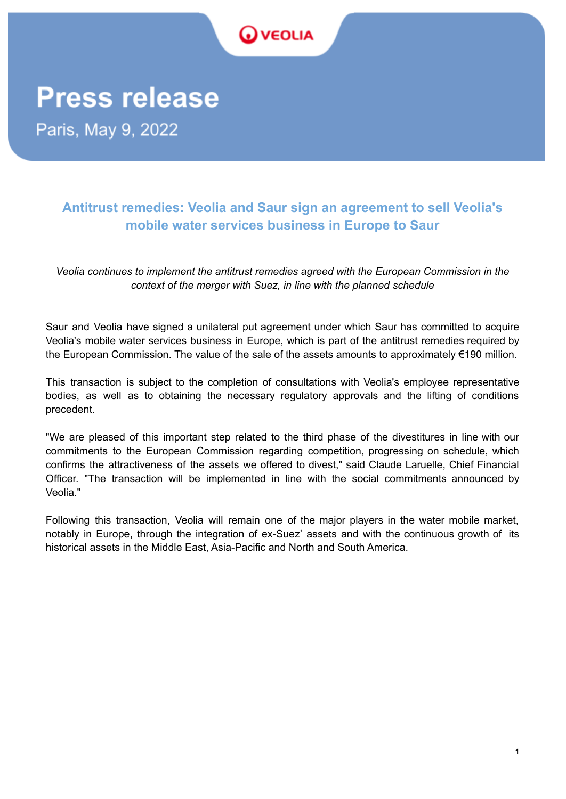

## **Press release**

Paris, May 9, 2022

## **Antitrust remedies: Veolia and Saur sign an agreement to sell Veolia's mobile water services business in Europe to Saur**

*Veolia continues to implement the antitrust remedies agreed with the European Commission in the context of the merger with Suez, in line with the planned schedule*

Saur and Veolia have signed a unilateral put agreement under which Saur has committed to acquire Veolia's mobile water services business in Europe, which is part of the antitrust remedies required by the European Commission. The value of the sale of the assets amounts to approximately €190 million.

This transaction is subject to the completion of consultations with Veolia's employee representative bodies, as well as to obtaining the necessary regulatory approvals and the lifting of conditions precedent.

"We are pleased of this important step related to the third phase of the divestitures in line with our commitments to the European Commission regarding competition, progressing on schedule, which confirms the attractiveness of the assets we offered to divest," said Claude Laruelle, Chief Financial Officer. "The transaction will be implemented in line with the social commitments announced by Veolia."

Following this transaction, Veolia will remain one of the major players in the water mobile market, notably in Europe, through the integration of ex-Suez' assets and with the continuous growth of its historical assets in the Middle East, Asia-Pacific and North and South America.